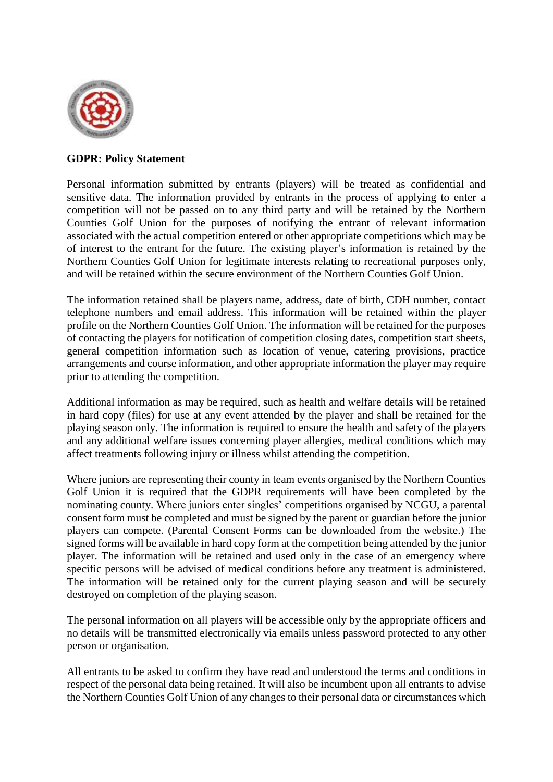

## **GDPR: Policy Statement**

Personal information submitted by entrants (players) will be treated as confidential and sensitive data. The information provided by entrants in the process of applying to enter a competition will not be passed on to any third party and will be retained by the Northern Counties Golf Union for the purposes of notifying the entrant of relevant information associated with the actual competition entered or other appropriate competitions which may be of interest to the entrant for the future. The existing player's information is retained by the Northern Counties Golf Union for legitimate interests relating to recreational purposes only, and will be retained within the secure environment of the Northern Counties Golf Union.

The information retained shall be players name, address, date of birth, CDH number, contact telephone numbers and email address. This information will be retained within the player profile on the Northern Counties Golf Union. The information will be retained for the purposes of contacting the players for notification of competition closing dates, competition start sheets, general competition information such as location of venue, catering provisions, practice arrangements and course information, and other appropriate information the player may require prior to attending the competition.

Additional information as may be required, such as health and welfare details will be retained in hard copy (files) for use at any event attended by the player and shall be retained for the playing season only. The information is required to ensure the health and safety of the players and any additional welfare issues concerning player allergies, medical conditions which may affect treatments following injury or illness whilst attending the competition.

Where juniors are representing their county in team events organised by the Northern Counties Golf Union it is required that the GDPR requirements will have been completed by the nominating county. Where juniors enter singles' competitions organised by NCGU, a parental consent form must be completed and must be signed by the parent or guardian before the junior players can compete. (Parental Consent Forms can be downloaded from the website.) The signed forms will be available in hard copy form at the competition being attended by the junior player. The information will be retained and used only in the case of an emergency where specific persons will be advised of medical conditions before any treatment is administered. The information will be retained only for the current playing season and will be securely destroyed on completion of the playing season.

The personal information on all players will be accessible only by the appropriate officers and no details will be transmitted electronically via emails unless password protected to any other person or organisation.

All entrants to be asked to confirm they have read and understood the terms and conditions in respect of the personal data being retained. It will also be incumbent upon all entrants to advise the Northern Counties Golf Union of any changes to their personal data or circumstances which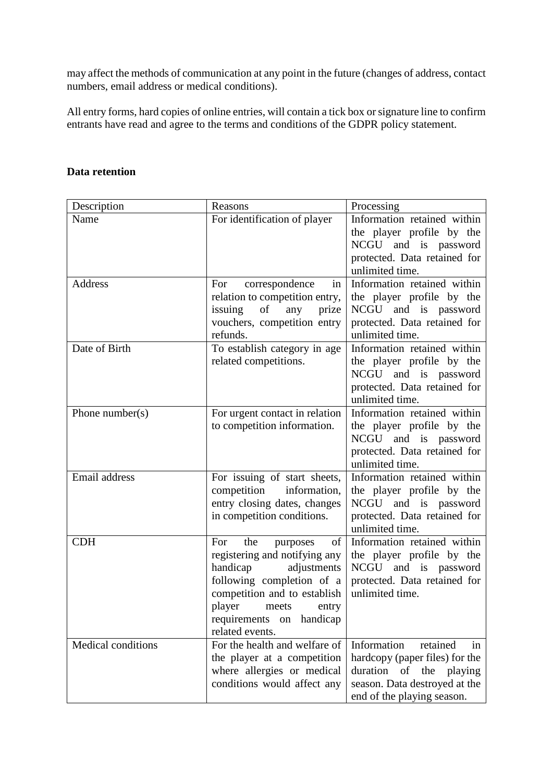may affect the methods of communication at any point in the future (changes of address, contact numbers, email address or medical conditions).

All entry forms, hard copies of online entries, will contain a tick box or signature line to confirm entrants have read and agree to the terms and conditions of the GDPR policy statement.

## **Data retention**

| Description         | Reasons                                                                                                                                                                                                                          | Processing                                                                                                                                                   |
|---------------------|----------------------------------------------------------------------------------------------------------------------------------------------------------------------------------------------------------------------------------|--------------------------------------------------------------------------------------------------------------------------------------------------------------|
| Name                | For identification of player                                                                                                                                                                                                     | Information retained within<br>the player profile by the<br>NCGU and is password<br>protected. Data retained for<br>unlimited time.                          |
| Address             | correspondence<br>For<br>in<br>relation to competition entry,<br>issuing<br>of<br>any<br>prize<br>vouchers, competition entry<br>refunds.                                                                                        | Information retained within<br>the player profile by the<br>NCGU and is password<br>protected. Data retained for<br>unlimited time.                          |
| Date of Birth       | To establish category in age<br>related competitions.                                                                                                                                                                            | Information retained within<br>the player profile by the<br>NCGU and is password<br>protected. Data retained for<br>unlimited time.                          |
| Phone number( $s$ ) | For urgent contact in relation<br>to competition information.                                                                                                                                                                    | Information retained within<br>the player profile by the<br>NCGU and is password<br>protected. Data retained for<br>unlimited time.                          |
| Email address       | For issuing of start sheets,<br>competition<br>information,<br>entry closing dates, changes<br>in competition conditions.                                                                                                        | Information retained within<br>the player profile by the<br>NCGU and is password<br>protected. Data retained for<br>unlimited time.                          |
| <b>CDH</b>          | of<br>the<br>For<br>purposes<br>registering and notifying any<br>handicap<br>adjustments<br>following completion of a<br>competition and to establish<br>player<br>meets<br>entry<br>requirements on handicap<br>related events. | Information retained within<br>the player profile by the<br>NCGU and is password<br>protected. Data retained for<br>unlimited time.                          |
| Medical conditions  | For the health and welfare of<br>the player at a competition<br>where allergies or medical<br>conditions would affect any                                                                                                        | Information<br>retained<br>in<br>hardcopy (paper files) for the<br>duration<br>of the playing<br>season. Data destroyed at the<br>end of the playing season. |